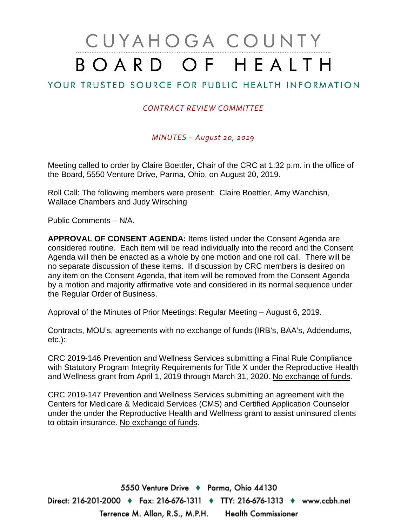# CUYAHOGA COUNTY BOARD OF HEALTH

## YOUR TRUSTED SOURCE FOR PUBLIC HEALTH INFORMATION

### *CONTRACT REVIEW COMMITTEE*

*MINUTES – August 20, 2019*

Meeting called to order by Claire Boettler, Chair of the CRC at 1:32 p.m. in the office of the Board, 5550 Venture Drive, Parma, Ohio, on August 20, 2019.

Roll Call: The following members were present: Claire Boettler, Amy Wanchisn, Wallace Chambers and Judy Wirsching

Public Comments – N/A.

**APPROVAL OF CONSENT AGENDA:** Items listed under the Consent Agenda are considered routine. Each item will be read individually into the record and the Consent Agenda will then be enacted as a whole by one motion and one roll call. There will be no separate discussion of these items. If discussion by CRC members is desired on any item on the Consent Agenda, that item will be removed from the Consent Agenda by a motion and majority affirmative vote and considered in its normal sequence under the Regular Order of Business.

Approval of the Minutes of Prior Meetings: Regular Meeting – August 6, 2019.

Contracts, MOU's, agreements with no exchange of funds (IRB's, BAA's, Addendums, etc.):

CRC 2019-146 Prevention and Wellness Services submitting a Final Rule Compliance with Statutory Program Integrity Requirements for Title X under the Reproductive Health and Wellness grant from April 1, 2019 through March 31, 2020. No exchange of funds.

CRC 2019-147 Prevention and Wellness Services submitting an agreement with the Centers for Medicare & Medicaid Services (CMS) and Certified Application Counselor under the under the Reproductive Health and Wellness grant to assist uninsured clients to obtain insurance. No exchange of funds.

5550 Venture Drive + Parma, Ohio 44130 Direct: 216-201-2000 ♦ Fax: 216-676-1311 ♦ TTY: 216-676-1313 ♦ www.ccbh.net Terrence M. Allan, R.S., M.P.H. Health Commissioner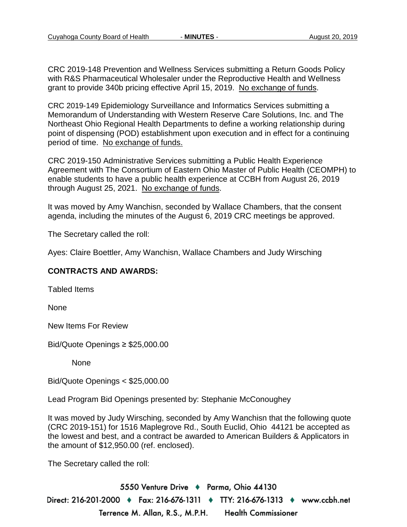CRC 2019-148 Prevention and Wellness Services submitting a Return Goods Policy with R&S Pharmaceutical Wholesaler under the Reproductive Health and Wellness grant to provide 340b pricing effective April 15, 2019. No exchange of funds.

CRC 2019-149 Epidemiology Surveillance and Informatics Services submitting a Memorandum of Understanding with Western Reserve Care Solutions, Inc. and The Northeast Ohio Regional Health Departments to define a working relationship during point of dispensing (POD) establishment upon execution and in effect for a continuing period of time. No exchange of funds.

CRC 2019-150 Administrative Services submitting a Public Health Experience Agreement with The Consortium of Eastern Ohio Master of Public Health (CEOMPH) to enable students to have a public health experience at CCBH from August 26, 2019 through August 25, 2021. No exchange of funds.

It was moved by Amy Wanchisn, seconded by Wallace Chambers, that the consent agenda, including the minutes of the August 6, 2019 CRC meetings be approved.

The Secretary called the roll:

Ayes: Claire Boettler, Amy Wanchisn, Wallace Chambers and Judy Wirsching

#### **CONTRACTS AND AWARDS:**

Tabled Items

None

New Items For Review

Bid/Quote Openings ≥ \$25,000.00

None

Bid/Quote Openings < \$25,000.00

Lead Program Bid Openings presented by: Stephanie McConoughey

It was moved by Judy Wirsching, seconded by Amy Wanchisn that the following quote (CRC 2019-151) for 1516 Maplegrove Rd., South Euclid, Ohio 44121 be accepted as the lowest and best, and a contract be awarded to American Builders & Applicators in the amount of \$12,950.00 (ref. enclosed).

The Secretary called the roll:

5550 Venture Drive + Parma, Ohio 44130 Direct: 216-201-2000 ♦ Fax: 216-676-1311 ♦ TTY: 216-676-1313 ♦ www.ccbh.net Terrence M. Allan, R.S., M.P.H. **Health Commissioner**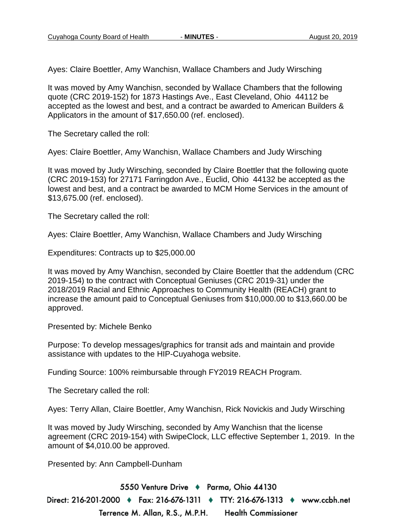Ayes: Claire Boettler, Amy Wanchisn, Wallace Chambers and Judy Wirsching

It was moved by Amy Wanchisn, seconded by Wallace Chambers that the following quote (CRC 2019-152) for 1873 Hastings Ave., East Cleveland, Ohio 44112 be accepted as the lowest and best, and a contract be awarded to American Builders & Applicators in the amount of \$17,650.00 (ref. enclosed).

The Secretary called the roll:

Ayes: Claire Boettler, Amy Wanchisn, Wallace Chambers and Judy Wirsching

It was moved by Judy Wirsching, seconded by Claire Boettler that the following quote (CRC 2019-153) for 27171 Farringdon Ave., Euclid, Ohio 44132 be accepted as the lowest and best, and a contract be awarded to MCM Home Services in the amount of \$13,675.00 (ref. enclosed).

The Secretary called the roll:

Ayes: Claire Boettler, Amy Wanchisn, Wallace Chambers and Judy Wirsching

Expenditures: Contracts up to \$25,000.00

It was moved by Amy Wanchisn, seconded by Claire Boettler that the addendum (CRC 2019-154) to the contract with Conceptual Geniuses (CRC 2019-31) under the 2018/2019 Racial and Ethnic Approaches to Community Health (REACH) grant to increase the amount paid to Conceptual Geniuses from \$10,000.00 to \$13,660.00 be approved.

Presented by: Michele Benko

Purpose: To develop messages/graphics for transit ads and maintain and provide assistance with updates to the HIP-Cuyahoga website.

Funding Source: 100% reimbursable through FY2019 REACH Program.

The Secretary called the roll:

Ayes: Terry Allan, Claire Boettler, Amy Wanchisn, Rick Novickis and Judy Wirsching

It was moved by Judy Wirsching, seconded by Amy Wanchisn that the license agreement (CRC 2019-154) with SwipeClock, LLC effective September 1, 2019. In the amount of \$4,010.00 be approved.

Presented by: Ann Campbell-Dunham

5550 Venture Drive + Parma, Ohio 44130 Direct: 216-201-2000 ♦ Fax: 216-676-1311 ♦ TTY: 216-676-1313 ♦ www.ccbh.net Terrence M. Allan, R.S., M.P.H. **Health Commissioner**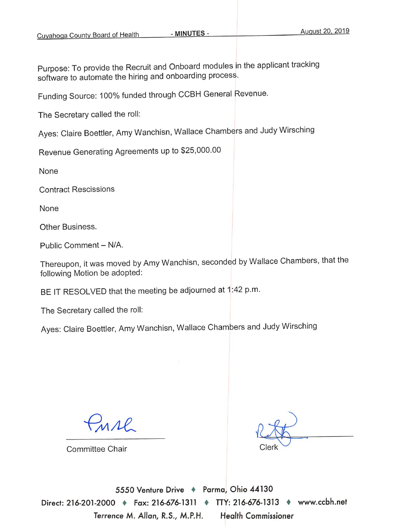Purpose: To provide the Recruit and Onboard modules in the applicant tracking software to automate the hiring and onboarding process.

Funding Source: 100% funded through CCBH General Revenue.

The Secretary called the roll:

Ayes: Claire Boettler, Amy Wanchisn, Wallace Chambers and Judy Wirsching

Revenue Generating Agreements up to \$25,000.00

None

**Contract Rescissions** 

None

Other Business.

Public Comment - N/A.

Thereupon, it was moved by Amy Wanchisn, seconded by Wallace Chambers, that the following Motion be adopted:

BE IT RESOLVED that the meeting be adjourned at 1:42 p.m.

The Secretary called the roll:

Ayes: Claire Boettler, Amy Wanchisn, Wallace Chambers and Judy Wirsching

MAR

**Committee Chair** 

5550 Venture Drive + Parma, Ohio 44130 Direct: 216-201-2000 + Fax: 216-676-1311 + TTY: 216-676-1313 + www.ccbh.net Terrence M. Allan, R.S., M.P.H. **Health Commissioner**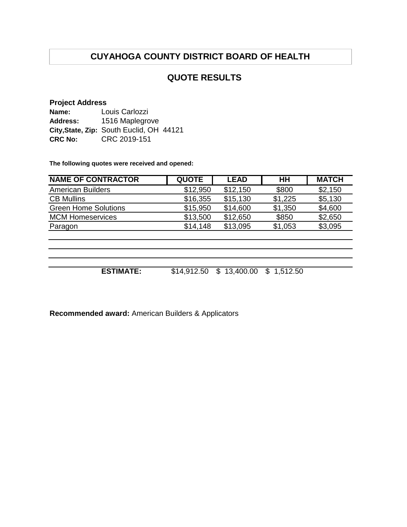# **CUYAHOGA COUNTY DISTRICT BOARD OF HEALTH**

## **QUOTE RESULTS**

#### **Project Address**

| Name:          | Louis Carlozzi                           |  |
|----------------|------------------------------------------|--|
| Address:       | 1516 Maplegrove                          |  |
|                | City, State, Zip: South Euclid, OH 44121 |  |
| <b>CRC No:</b> | CRC 2019-151                             |  |

**The following quotes were received and opened:**

| <b>NAME OF CONTRACTOR</b>   | <b>QUOTE</b> | <b>LEAD</b> | HН         | <b>MATCH</b> |
|-----------------------------|--------------|-------------|------------|--------------|
| <b>American Builders</b>    | \$12,950     | \$12,150    | \$800      | \$2,150      |
| <b>CB Mullins</b>           | \$16,355     | \$15,130    | \$1,225    | \$5,130      |
| <b>Green Home Solutions</b> | \$15,950     | \$14,600    | \$1,350    | \$4,600      |
| <b>MCM Homeservices</b>     | \$13,500     | \$12,650    | \$850      | \$2,650      |
| Paragon                     | \$14,148     | \$13,095    | \$1,053    | \$3,095      |
|                             |              |             |            |              |
|                             |              |             |            |              |
|                             |              |             |            |              |
|                             |              |             |            |              |
| <b>ESTIMATE:</b>            | \$14,912.50  | \$13,400.00 | \$1,512.50 |              |

**Recommended award:** American Builders & Applicators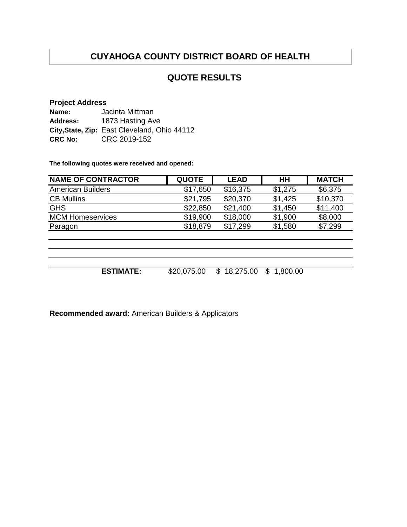# **CUYAHOGA COUNTY DISTRICT BOARD OF HEALTH**

## **QUOTE RESULTS**

#### **Project Address**

| Name:          | Jacinta Mittman                              |
|----------------|----------------------------------------------|
| Address:       | 1873 Hasting Ave                             |
|                | City, State, Zip: East Cleveland, Ohio 44112 |
| <b>CRC No:</b> | CRC 2019-152                                 |

**The following quotes were received and opened:**

| <b>NAME OF CONTRACTOR</b> | <b>QUOTE</b> | <b>LEAD</b>    | HН            | <b>MATCH</b> |
|---------------------------|--------------|----------------|---------------|--------------|
| <b>American Builders</b>  | \$17,650     | \$16,375       | \$1,275       | \$6,375      |
| <b>CB Mullins</b>         | \$21,795     | \$20,370       | \$1,425       | \$10,370     |
| <b>GHS</b>                | \$22,850     | \$21,400       | \$1,450       | \$11,400     |
| <b>MCM Homeservices</b>   | \$19,900     | \$18,000       | \$1,900       | \$8,000      |
| Paragon                   | \$18,879     | \$17,299       | \$1,580       | \$7,299      |
|                           |              |                |               |              |
|                           |              |                |               |              |
|                           |              |                |               |              |
|                           |              |                |               |              |
| <b>ESTIMATE:</b>          | \$20,075.00  | 18,275.00<br>S | S<br>1,800.00 |              |

**Recommended award:** American Builders & Applicators